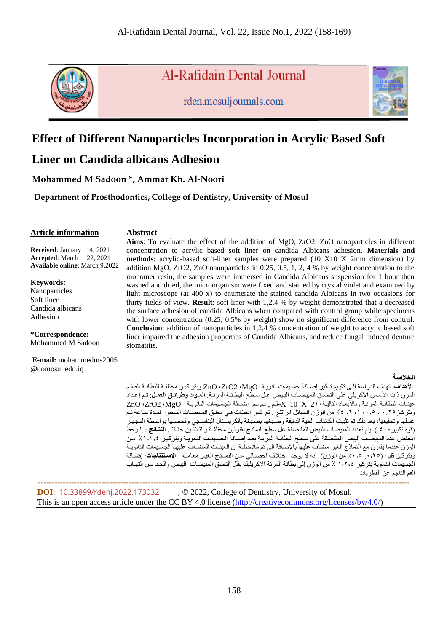

**Al-Rafidain Dental Journal** 

rden.mosuljournals.com



# **Effect of Different Nanoparticles Incorporation in Acrylic Based Soft**

# **Liner on Candida albicans Adhesion**

**Mohammed M Sadoon \*, Ammar Kh. Al-Noori**

**Department of Prosthodontics, College of Dentistry, University of Mosul**

### **Article information**

### **Abstract**

**Received**: January 14, 2021 **Accepted**: March 22, 2021 **Available online**: March 9,2022

**Keywords:**

Nanoparticles Soft liner Candida albicans Adhesion

**\*Correspondence:** Mohammed M Sadoon

**E-mail:** mohammedms2005 @uomosul.edu.iq

**Aims**: To evaluate the effect of the addition of MgO, ZrO2, ZnO nanoparticles in different concentration to acrylic based soft liner on candida Albicans adhesion. **Materials and methods**: acrylic-based soft-liner samples were prepared (10 X10 X 2mm dimension) by addition MgO, ZrO2, ZnO nanoparticles in  $0.25, 0.5, 1, 2, 4$  % by weight concentration to the monomer resin, the samples were immersed in Candida Albicans suspension for 1 hour then washed and dried, the microorganism were fixed and stained by crystal violet and examined by light microscope (at 400 x) to enumerate the stained candida Albicans in two occasions for thirty fields of view. **Result**: soft liner with 1,2,4 % by weight demonstrated that a decreased the surface adhesion of candida Albicans when compared with control group while specimens with lower concentration (0.25, 0.5% by weight) show no significant difference from control. **Conclusion**: addition of nanoparticles in 1,2,4 % concentration of weight to acrylic based soft liner impaired the adhesion properties of Candida Albicans, and reduce fungal induced denture stomatitis.

### **الخالصة**

**الأهداف**: تهدف الدر اسة الـي تقييم تـأثير اضــافة جسيمات نانو يـة MgO، ZrO2، VIGO، وبتر اكيـز مختلفـة للبطـانـة الطقـم المرن ذات الأساس الاكريلي على التصاق المبيضـات البـيض عـل سـطـح البطانــة المرنــة. ا**لمـواد وطرائـق الـعمل**: تـم إعـداد عينـات البطانــة المرنــة وبـالأبـعـاد التاليــة · 21 X 10 X ملـم , ثـم تـم إضــافة الجسيمات النانويــة ZnO ،ZrO2 ،MgO وبتركيز ٢.0 ، ، ،0 ، ٢ ، ٢ ، ٤ ٪ من الوزن النسائل الرانتج . تم غمر العينات فـي معلـق المبيضـات البـيض لمـدة سـاعة ثـم غسلها وتجفيفها، بعد ذلك تم تثبيت الكائنات الحية الدقيقة وصىبغها بصىبغة بالكريستال البنفسجي وفحصىها بواسطة المجهر (قوة تكبير ٤٠٠ ) ليتم تعداد المبيضات البيض الملتصقة عل سطع النماذج بفترتين مختلفة و لثلاثـين حقـلا <sub>.</sub> ا**لنتـانج** : لـوحظ انخفض عدد المبيضات البيض الملتصقة على سطح البطانـة المرّنـة بعدّ إضـافة الجسـيمات النانويـة وبتركيـز ٪1,7,4 مـن الوزن عندما يقارن مع النماذج الغير مضاف عليها بالإضافة الى تم ملاحظـة ان العينـات المضـاف عليهـا الجسيمات النانويـة وبتركيز قليل (٢٥,٠,<sup>٥</sup> ق.٠٪ من الوزن) انه لا يوجد اختلاف احصـائي عن النمـاذج الغيـر معاملـة . الا**ستنتاجات**: اضـافة الجسيمات النانوية بتركيز ١,٢,٤ ٪ من الوزن إلى بطانة المرنة الاكريليك يقلل ألتصنّ المبيضات البيض والحد من التهاب الفم الناجم عن الفطريات

 **--------------------------------------------------------------------------------------------------------------------------------------- DOI**: [10.33899/rdenj.2022.173032](http://dx.doi.org/10.33899/rdenj.2022.173032) , © 2022, College of Dentistry, University of Mosul. This is an open access article under the CC BY 4.0 license [\(http://creativecommons.org/licenses/by/4.0/\)](http://creativecommons.org/licenses/by/4.0/)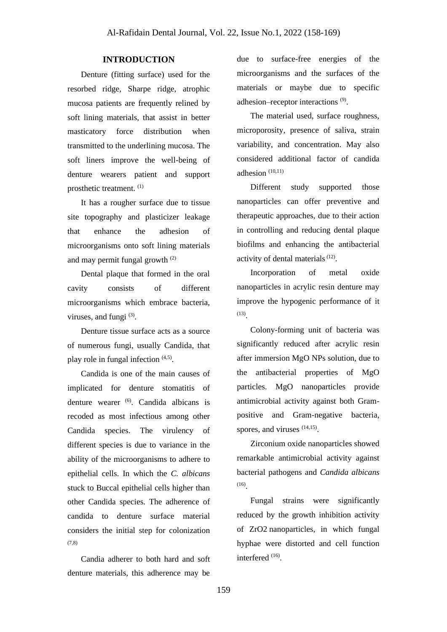### **INTRODUCTION**

Denture (fitting surface) used for the resorbed ridge, Sharpe ridge, atrophic mucosa patients are frequently relined by soft lining materials, that assist in better masticatory force distribution when transmitted to the underlining mucosa. The soft liners improve the well-being of denture wearers patient and support prosthetic treatment. (1)

It has a rougher surface due to tissue site topography and plasticizer leakage that enhance the adhesion of microorganisms onto soft lining materials and may permit fungal growth (2)

Dental plaque that formed in the oral cavity consists of different microorganisms which embrace bacteria, viruses, and fungi $(3)$ .

Denture tissue surface acts as a source of numerous fungi, usually Candida, that play role in fungal infection  $(4,5)$ .

Candida is one of the main causes of implicated for denture stomatitis of denture wearer (6). Candida albicans is recoded as most infectious among other Candida species. The virulency of different species is due to variance in the ability of the microorganisms to adhere to epithelial cells. In which the *C. albicans* stuck to Buccal epithelial cells higher than other Candida species. The adherence of candida to denture surface material considers the initial step for colonization (7,8)

Candia adherer to both hard and soft denture materials, this adherence may be

due to surface-free energies of the microorganisms and the surfaces of the materials or maybe due to specific adhesion–receptor interactions<sup>(9)</sup>.

The material used, surface roughness, microporosity, presence of saliva, strain variability, and concentration. May also considered additional factor of candida adhesion (10,11)

Different study supported those nanoparticles can offer preventive and therapeutic approaches, due to their action in controlling and reducing dental plaque biofilms and enhancing the antibacterial activity of dental materials<sup>(12)</sup>.

Incorporation of metal oxide nanoparticles in acrylic resin denture may improve the hypogenic performance of it (13) .

Colony-forming unit of bacteria was significantly reduced after acrylic resin after immersion MgO NPs solution, due to the antibacterial properties of MgO particles. MgO nanoparticles provide antimicrobial activity against both Grampositive and Gram-negative bacteria, spores, and viruses  $(14,15)$ .

Zirconium oxide nanoparticles showed remarkable antimicrobial activity against bacterial pathogens and *Candida albicans* (16) .

Fungal strains were significantly reduced by the growth inhibition activity of ZrO2 nanoparticles, in which fungal hyphae were distorted and cell function interfered  $(16)$ .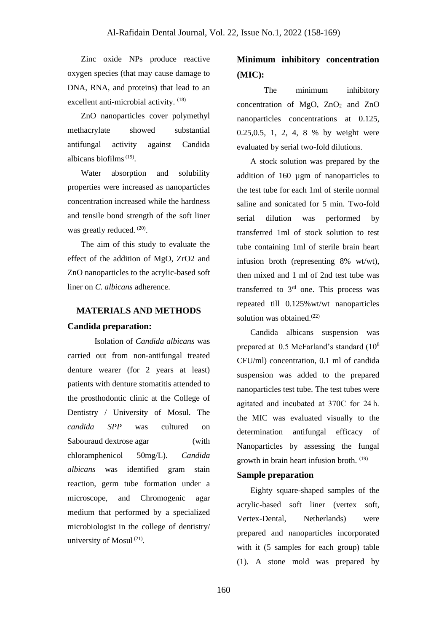Zinc oxide NPs produce reactive oxygen species (that may cause damage to DNA, RNA, and proteins) that lead to an excellent anti-microbial activity. <sup>(18)</sup>

ZnO nanoparticles cover polymethyl methacrylate showed substantial antifungal activity against Candida albicans biofilms $(19)$ .

Water absorption and solubility properties were increased as nanoparticles concentration increased while the hardness and tensile bond strength of the soft liner was greatly reduced.<sup>(20)</sup>.

The aim of this study to evaluate the effect of the addition of MgO, ZrO2 and ZnO nanoparticles to the acrylic-based soft liner on *C. albicans* adherence.

# **MATERIALS AND METHODS Candida preparation:**

Isolation of *Candida albicans* was carried out from non-antifungal treated denture wearer (for 2 years at least) patients with denture stomatitis attended to the prosthodontic clinic at the College of Dentistry / University of Mosul. The *candida SPP* was cultured on Sabouraud dextrose agar (with chloramphenicol 50mg/L). *Candida albicans* was identified gram stain reaction, germ tube formation under a microscope, and Chromogenic agar medium that performed by a specialized microbiologist in the college of dentistry/ university of Mosul<sup>(21)</sup>.

# **Minimum inhibitory concentration (MIC):**

The minimum inhibitory concentration of MgO,  $ZnO<sub>2</sub>$  and  $ZnO$ nanoparticles concentrations at 0.125, 0.25,0.5, 1, 2, 4, 8 % by weight were evaluated by serial two-fold dilutions.

A stock solution was prepared by the addition of 160 µgm of nanoparticles to the test tube for each 1ml of sterile normal saline and sonicated for 5 min. Two-fold serial dilution was performed by transferred 1ml of stock solution to test tube containing 1ml of sterile brain heart infusion broth (representing 8% wt/wt), then mixed and 1 ml of 2nd test tube was transferred to 3rd one. This process was repeated till 0.125%wt/wt nanoparticles solution was obtained.<sup>(22)</sup>

Candida albicans suspension was prepared at 0.5 McFarland's standard (10<sup>8</sup> CFU/ml) concentration, 0.1 ml of candida suspension was added to the prepared nanoparticles test tube. The test tubes were agitated and incubated at 370C for 24 h. the MIC was evaluated visually to the determination antifungal efficacy of Nanoparticles by assessing the fungal growth in brain heart infusion broth. (19)

### **Sample preparation**

Eighty square-shaped samples of the acrylic-based soft liner (vertex soft, Vertex-Dental, Netherlands) were prepared and nanoparticles incorporated with it (5 samples for each group) table (1). A stone mold was prepared by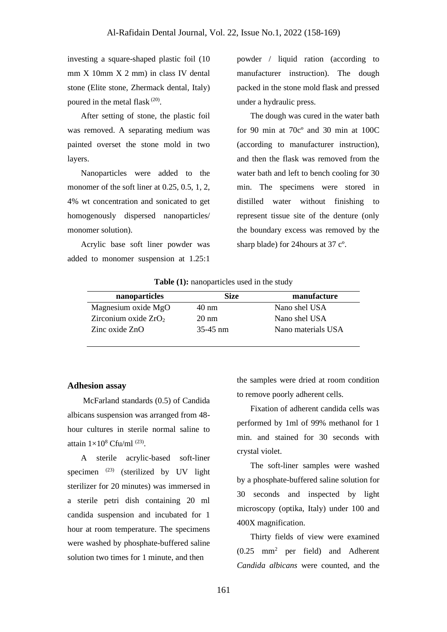investing a square-shaped plastic foil (10 mm X 10mm X 2 mm) in class IV dental stone (Elite stone, Zhermack dental, Italy) poured in the metal flask  $(20)$ .

After setting of stone, the plastic foil was removed. A separating medium was painted overset the stone mold in two layers.

Nanoparticles were added to the monomer of the soft liner at 0.25, 0.5, 1, 2, 4% wt concentration and sonicated to get homogenously dispersed nanoparticles/ monomer solution).

Acrylic base soft liner powder was added to monomer suspension at 1.25:1

powder / liquid ration (according to manufacturer instruction). The dough packed in the stone mold flask and pressed under a hydraulic press.

The dough was cured in the water bath for 90 min at 70cº and 30 min at 100C (according to manufacturer instruction), and then the flask was removed from the water bath and left to bench cooling for 30 min. The specimens were stored in distilled water without finishing to represent tissue site of the denture (only the boundary excess was removed by the sharp blade) for 24hours at 37 cº.

**Table (1):** nanoparticles used in the study

| nanoparticles          | Size            | manufacture        |
|------------------------|-----------------|--------------------|
| Magnesium oxide MgO    | $40 \text{ nm}$ | Nano shel USA      |
| Zirconium oxide $ZrO2$ | $20 \text{ nm}$ | Nano shel USA      |
| Zinc oxide ZnO         | $35-45$ nm      | Nano materials USA |

### **Adhesion assay**

McFarland standards (0.5) of Candida albicans suspension was arranged from 48 hour cultures in sterile normal saline to attain  $1\times10^8$  Cfu/ml<sup>(23)</sup>.

A sterile acrylic-based soft-liner specimen  $(23)$  (sterilized by UV light sterilizer for 20 minutes) was immersed in a sterile petri dish containing 20 ml candida suspension and incubated for 1 hour at room temperature. The specimens were washed by phosphate-buffered saline solution two times for 1 minute, and then

the samples were dried at room condition to remove poorly adherent cells.

Fixation of adherent candida cells was performed by 1ml of 99% methanol for 1 min. and stained for 30 seconds with crystal violet.

The soft-liner samples were washed by a phosphate-buffered saline solution for 30 seconds and inspected by light microscopy (optika, Italy) under 100 and 400X magnification.

Thirty fields of view were examined (0.25 mm<sup>2</sup> per field) and Adherent *Candida albicans* were counted, and the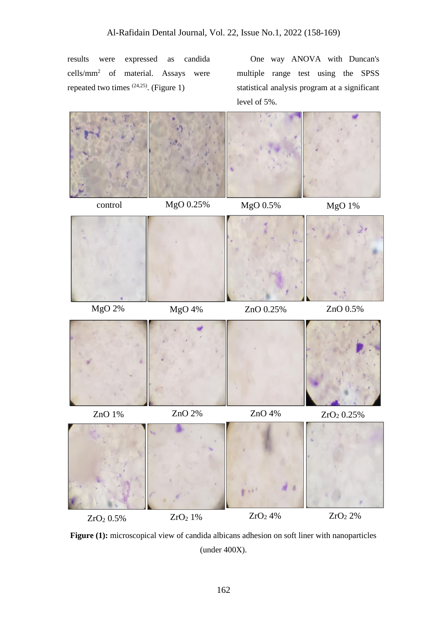results were expressed as candida cells/mm<sup>2</sup> of material. Assays were repeated two times  $(24,25)$ . (Figure 1)

One way ANOVA with Duncan's multiple range test using the SPSS statistical analysis program at a significant level of 5%.



Figure (1): microscopical view of candida albicans adhesion on soft liner with nanoparticles (under 400X).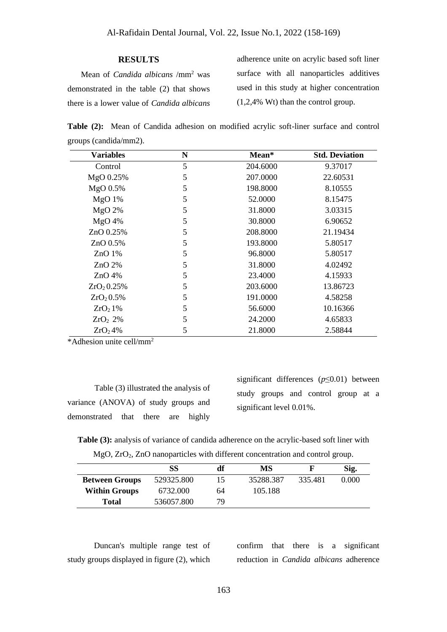#### **RESULTS**

Mean of *Candida albicans* /mm<sup>2</sup> was demonstrated in the table (2) that shows there is a lower value of *Candida albicans*

adherence unite on acrylic based soft liner surface with all nanoparticles additives used in this study at higher concentration (1,2,4% Wt) than the control group.

**Table (2):** Mean of Candida adhesion on modified acrylic soft-liner surface and control groups (candida/mm2).

| <b>Variables</b>    | N<br>Mean* |          | <b>Std. Deviation</b> |  |  |
|---------------------|------------|----------|-----------------------|--|--|
| Control             | 5          | 204.6000 | 9.37017               |  |  |
| MgO 0.25%           | 5          | 207.0000 | 22.60531              |  |  |
| MgO 0.5%            | 5          | 198.8000 | 8.10555               |  |  |
| $MgO$ 1%            | 5          | 52.0000  | 8.15475               |  |  |
| MgO 2%              | 5          | 31.8000  | 3.03315               |  |  |
| $MgO$ 4%            | 5          | 30.8000  | 6.90652               |  |  |
| $ZnO$ 0.25%         | 5          | 208.8000 | 21.19434              |  |  |
| ZnO 0.5%            | 5          | 193.8000 | 5.80517               |  |  |
| ZnO <sub>1</sub> %  | 5          | 96.8000  | 5.80517               |  |  |
| $ZnO$ 2%            | 5          | 31.8000  | 4.02492               |  |  |
| $ZnO$ 4%            | 5          | 23.4000  | 4.15933               |  |  |
| $ZrO_2 0.25%$       | 5          | 203.6000 | 13.86723              |  |  |
| $ZrO_2 0.5%$        | 5          | 191.0000 | 4.58258               |  |  |
| ZrO <sub>2</sub> 1% | 5          | 56.6000  | 10.16366              |  |  |
| ZrO <sub>2</sub> 2% | 5          | 24.2000  | 4.65833               |  |  |
| ZrO <sub>2</sub> 4% | 5          | 21.8000  | 2.58844               |  |  |

\*Adhesion unite cell/mm<sup>2</sup>

Table (3) illustrated the analysis of variance (ANOVA) of study groups and demonstrated that there are highly

significant differences (*p*≤0.01) between study groups and control group at a significant level 0.01%.

**Table (3):** analysis of variance of candida adherence on the acrylic-based soft liner with MgO, ZrO<sub>2</sub>, ZnO nanoparticles with different concentration and control group.

|                       | SS         | df | MS        |         | Sig.  |
|-----------------------|------------|----|-----------|---------|-------|
| <b>Between Groups</b> | 529325.800 | 15 | 35288.387 | 335.481 | 0.000 |
| <b>Within Groups</b>  | 6732.000   | 64 | 105.188   |         |       |
| Total                 | 536057.800 | 79 |           |         |       |

Duncan's multiple range test of study groups displayed in figure (2), which confirm that there is a significant reduction in *Candida albicans* adherence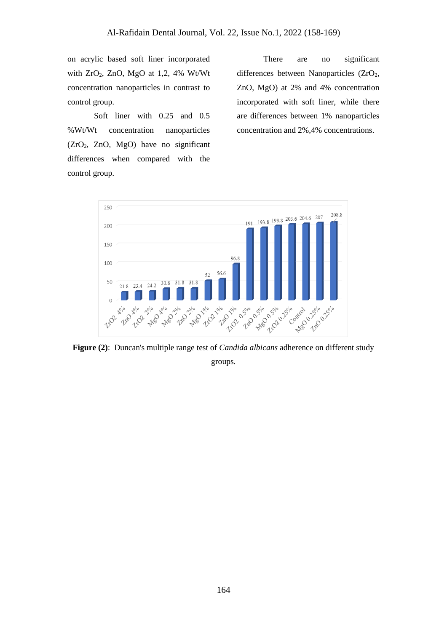on acrylic based soft liner incorporated with  $ZrO_2$ ,  $ZnO$ ,  $MgO$  at 1,2, 4% Wt/Wt concentration nanoparticles in contrast to control group.

Soft liner with 0.25 and 0.5 %Wt/Wt concentration nanoparticles (ZrO2, ZnO, MgO) have no significant differences when compared with the control group.

There are no significant differences between Nanoparticles (ZrO<sub>2</sub>, ZnO, MgO) at 2% and 4% concentration incorporated with soft liner, while there are differences between 1% nanoparticles concentration and 2%,4% concentrations.



**Figure (2)**: Duncan's multiple range test of *Candida albicans* adherence on different study groups.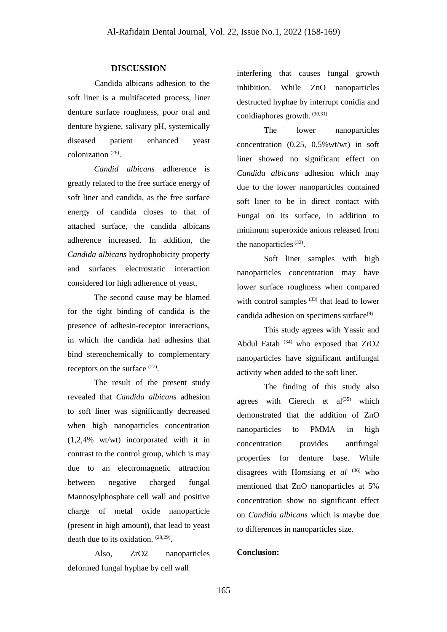### **DISCUSSION**

Candida albicans adhesion to the soft liner is a multifaceted process, liner denture surface roughness, poor oral and denture hygiene, salivary pH, systemically diseased patient enhanced yeast colonization (26) .

*Candid albicans* adherence is greatly related to the free surface energy of soft liner and candida, as the free surface energy of candida closes to that of attached surface, the candida albicans adherence increased. In addition, the *Candida albicans* hydrophobicity property and surfaces electrostatic interaction considered for high adherence of yeast.

The second cause may be blamed for the tight binding of candida is the presence of adhesin-receptor interactions, in which the candida had adhesins that bind stereochemically to complementary receptors on the surface  $(27)$ .

The result of the present study revealed that *Candida albicans* adhesion to soft liner was significantly decreased when high nanoparticles concentration (1,2,4% wt/wt) incorporated with it in contrast to the control group, which is may due to an electromagnetic attraction between negative charged fungal Mannosylphosphate cell wall and positive charge of metal oxide nanoparticle (present in high amount), that lead to yeast death due to its oxidation. <sup>(28,29)</sup>.

Also, ZrO2 nanoparticles deformed fungal hyphae by cell wall

interfering that causes fungal growth inhibition. While ZnO nanoparticles destructed hyphae by interrupt conidia and conidiaphores growth. (30,31)

The lower nanoparticles concentration (0.25, 0.5%wt/wt) in soft liner showed no significant effect on *Candida albicans* adhesion which may due to the lower nanoparticles contained soft liner to be in direct contact with Fungai on its surface, in addition to minimum superoxide anions released from the nanoparticles  $(32)$ .

Soft liner samples with high nanoparticles concentration may have lower surface roughness when compared with control samples  $(33)$  that lead to lower candida adhesion on specimens surface $(9)$ 

This study agrees with Yassir and Abdul Fatah  $(34)$  who exposed that  $ZrO2$ nanoparticles have significant antifungal activity when added to the soft liner.

The finding of this study also agrees with Cierech et  $al^{(35)}$  which demonstrated that the addition of ZnO nanoparticles to PMMA in high concentration provides antifungal properties for denture base. While disagrees with Homsiang *et al.* (36) who mentioned that ZnO nanoparticles at 5% concentration show no significant effect on *Candida albicans* which is maybe due to differences in nanoparticles size.

### **Conclusion:**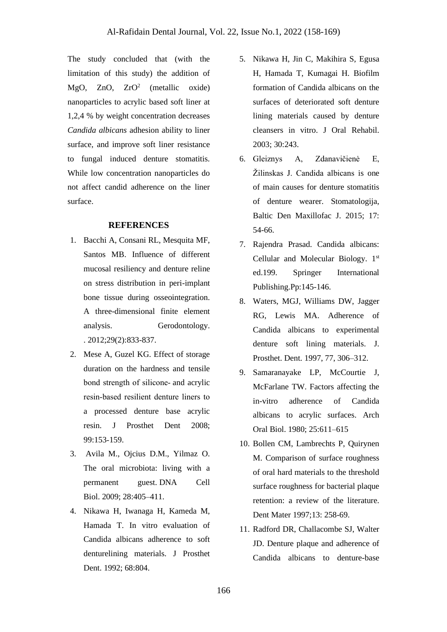The study concluded that (with the limitation of this study) the addition of MgO, ZnO,  $ZrO^2$  (metallic oxide) nanoparticles to acrylic based soft liner at 1,2,4 % by weight concentration decreases *Candida albicans* adhesion ability to liner surface, and improve soft liner resistance to fungal induced denture stomatitis. While low concentration nanoparticles do not affect candid adherence on the liner surface.

## **REFERENCES**

- 1. Bacchi A, Consani RL, Mesquita MF, Santos MB. Influence of different mucosal resiliency and denture reline on stress distribution in peri-implant bone tissue during osseointegration. A three-dimensional finite element analysis. Gerodontology. . 2012;29(2):833-837.
- 2. Mese A, Guzel KG. Effect of storage duration on the hardness and tensile bond strength of silicone‑ and acrylic resin‑based resilient denture liners to a processed denture base acrylic resin. J Prosthet Dent 2008; 99:153‑159.
- 3. Avila M., Ojcius D.M., Yilmaz O. The oral microbiota: living with a permanent guest. DNA Cell Biol. 2009; 28:405–411.
- 4. Nikawa H, Iwanaga H, Kameda M, Hamada T. In vitro evaluation of Candida albicans adherence to soft denturelining materials. J Prosthet Dent. 1992; 68:804.
- 5. Nikawa H, Jin C, Makihira S, Egusa H, Hamada T, Kumagai H. Biofilm formation of Candida albicans on the surfaces of deteriorated soft denture lining materials caused by denture cleansers in vitro. J Oral Rehabil. 2003; 30:243.
- 6. Gleiznys A, Zdanavičienė E, Žilinskas J. Candida albicans is one of main causes for denture stomatitis of denture wearer. Stomatologija, Baltic Den Maxillofac J. 2015; 17: 54-66.
- 7. Rajendra Prasad. Candida albicans: Cellular and Molecular Biology. 1st ed.199. Springer International Publishing.Pp:145-146.
- 8. Waters, MGJ, Williams DW, Jagger RG, Lewis MA. Adherence of Candida albicans to experimental denture soft lining materials. J. Prosthet. Dent. 1997, 77, 306–312.
- 9. Samaranayake LP, McCourtie J, McFarlane TW. Factors affecting the in-vitro adherence of Candida albicans to acrylic surfaces. Arch Oral Biol. 1980; 25:611–615
- 10. Bollen CM, Lambrechts P, Quirynen M. Comparison of surface roughness of oral hard materials to the threshold surface roughness for bacterial plaque retention: a review of the literature. Dent Mater 1997.13: 258-69
- 11. Radford DR, Challacombe SJ, Walter JD. Denture plaque and adherence of Candida albicans to denture-base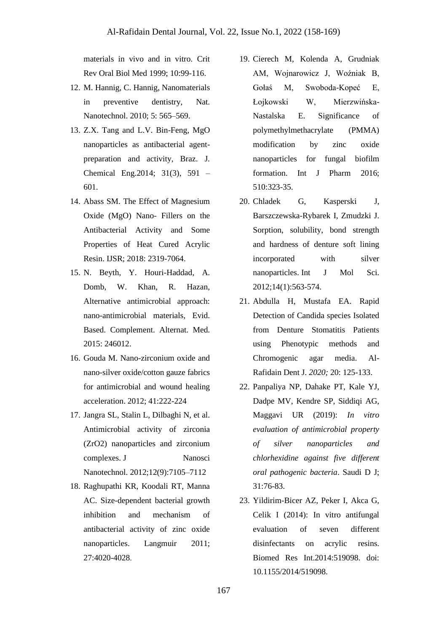materials in vivo and in vitro. Crit Rev Oral Biol Med 1999; 10:99-116.

- 12. M. Hannig, C. Hannig, Nanomaterials in preventive dentistry, Nat. Nanotechnol. 2010; 5: 565–569.
- 13. Z.X. Tang and L.V. Bin-Feng, MgO nanoparticles as antibacterial agentpreparation and activity, Braz. J. Chemical Eng.2014; 31(3), 591 – 601.
- 14. Abass SM. The Effect of Magnesium Oxide (MgO) Nano- Fillers on the Antibacterial Activity and Some Properties of Heat Cured Acrylic Resin. IJSR; 2018: 2319-7064.
- 15. N. Beyth, Y. Houri-Haddad, A. Domb, W. Khan, R. Hazan, Alternative antimicrobial approach: nano-antimicrobial materials, Evid. Based. Complement. Alternat. Med. 2015: 246012.
- 16. Gouda M. Nano-zirconium oxide and nano-silver oxide/cotton gauze fabrics for antimicrobial and wound healing acceleration. 2012; 41:222-224
- 17. Jangra SL, Stalin L, Dilbaghi N, et al. Antimicrobial activity of zirconia (ZrO2) nanoparticles and zirconium complexes. J Nanosci Nanotechnol. 2012;12(9):7105–7112
- 18. Raghupathi KR, Koodali RT, Manna AC. Size-dependent bacterial growth inhibition and mechanism of antibacterial activity of zinc oxide nanoparticles. Langmuir 2011; 27:4020-4028.
- 19. Cierech M, Kolenda A, Grudniak AM, Wojnarowicz J, Woźniak B, Gołaś M, Swoboda-Kopeć E, Łojkowski W, Mierzwińska-Nastalska E. Significance of polymethylmethacrylate (PMMA) modification by zinc oxide nanoparticles for fungal biofilm formation. Int J Pharm 2016: 510:323-35.
- 20. Chladek G, Kasperski J, Barszczewska-Rybarek I, Zmudzki J. Sorption, solubility, bond strength and hardness of denture soft lining incorporated with silver nanoparticles. Int J Mol Sci. 2012;14(1):563-574.
- 21. Abdulla H, Mustafa EA. Rapid Detection of Candida species Isolated from Denture Stomatitis Patients using Phenotypic methods and Chromogenic agar media. Al-Rafidain Dent J. *2020;* 20: 125-133.
- 22. Panpaliya NP, Dahake PT, Kale YJ, Dadpe MV, Kendre SP, Siddiqi AG, Maggavi UR (2019): *In vitro evaluation of antimicrobial property of silver nanoparticles and chlorhexidine against five different oral pathogenic bacteria*. Saudi D J; 31:76-83.
- 23. Yildirim-Bicer AZ, Peker I, Akca G, Celik I (2014): In vitro antifungal evaluation of seven different disinfectants on acrylic resins. Biomed Res Int.2014:519098. doi: 10.1155/2014/519098.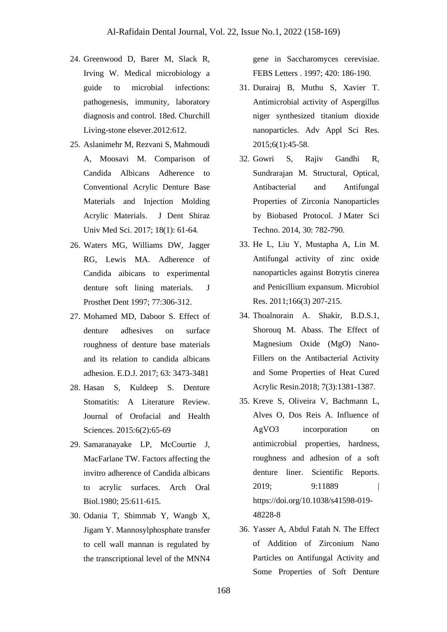- 24. Greenwood D, Barer M, Slack R, Irving W. Medical microbiology a guide to microbial infections: pathogenesis, immunity, laboratory diagnosis and control. 18ed. Churchill Living-stone elsever.2012:612.
- 25. Aslanimehr M, Rezvani S, Mahmoudi A, Moosavi M. Comparison of Candida Albicans Adherence to Conventional Acrylic Denture Base Materials and Injection Molding Acrylic Materials. J Dent Shiraz Univ Med Sci. 2017; 18(1): 61-64*.*
- 26. Waters MG, Williams DW, Jagger RG, Lewis MA. Adherence of Candida aibicans to experimental denture soft lining materials. J Prosthet Dent 1997; 77:306-312.
- 27. Mohamed MD, Daboor S. Effect of denture adhesives on surface roughness of denture base materials and its relation to candida albicans adhesion. E.D.J. 2017; 63: 3473-3481
- 28. Hasan S, Kuldeep S. Denture Stomatitis: A Literature Review. Journal of Orofacial and Health Sciences. 2015:6(2):65-69
- 29. Samaranayake LP, McCourtie J, MacFarlane TW. Factors affecting the invitro adherence of Candida albicans to acrylic surfaces. Arch Oral Biol.1980; 25:611-615.
- 30. Odania T, Shimmab Y, Wangb X, Jigam Y. Mannosylphosphate transfer to cell wall mannan is regulated by the transcriptional level of the MNN4

gene in Saccharomyces cerevisiae. FEBS Letters . 1997; 420: 186-190.

- 31. Durairaj B, Muthu S, Xavier T. Antimicrobial activity of Aspergillus niger synthesized titanium dioxide nanoparticles. Adv Appl Sci Res. 2015;6(1):45-58.
- 32. Gowri S, Rajiv Gandhi R, Sundrarajan M. Structural, Optical, Antibacterial and Antifungal Properties of Zirconia Nanoparticles by Biobased Protocol. J Mater Sci Techno. 2014, 30: 782-790.
- 33. He L, Liu Y, Mustapha A, Lin M. Antifungal activity of zinc oxide nanoparticles against Botrytis cinerea and Penicillium expansum. Microbiol Res. 2011;166(3) 207-215.
- 34. Thoalnorain A. Shakir, B.D.S.1, Shorouq M. Abass. The Effect of Magnesium Oxide (MgO) Nano-Fillers on the Antibacterial Activity and Some Properties of Heat Cured Acrylic Resin.2018; 7(3):1381-1387.
- 35. Kreve S, Oliveira V, Bachmann L, Alves O, Dos Reis A. Influence of AgVO3 incorporation on antimicrobial properties, hardness, roughness and adhesion of a soft denture liner. Scientific Reports. 2019; 9:11889 | https://doi.org/10.1038/s41598-019- 48228-8
- 36. Yasser A, Abdul Fatah N. The Effect of Addition of Zirconium Nano Particles on Antifungal Activity and Some Properties of Soft Denture